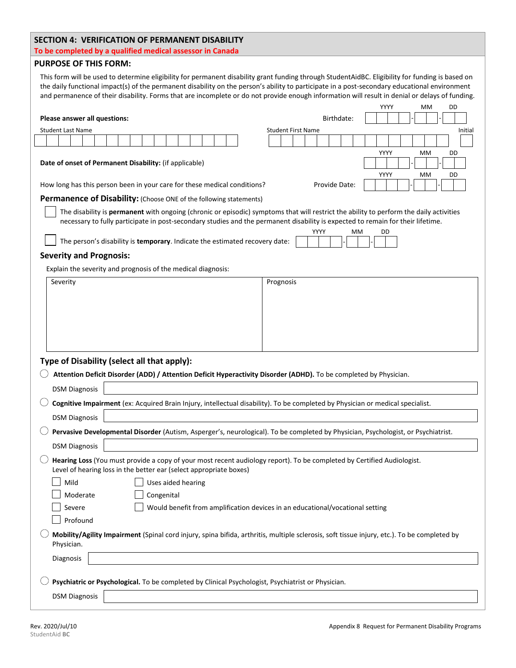## **SECTION 4: VERIFICATION OF PERMANENT DISABILITY**

|  | To be completed by a qualified medical assessor in Canada |  |  |  |
|--|-----------------------------------------------------------|--|--|--|
|--|-----------------------------------------------------------|--|--|--|

## **PURPOSE OF THIS FORM:**

This form will be used to determine eligibility for permanent disability grant funding through StudentAidBC. Eligibility for funding is based on the daily functional impact(s) of the permanent disability on the person's ability to participate in a post-secondary educational environment and permanence of their disability. Forms that are incomplete or do not provide enough information will result in denial or delays of funding.

|                                                                                                                                                                                                                                                                           | YYYY<br>МM<br>DD                     |  |  |  |  |
|---------------------------------------------------------------------------------------------------------------------------------------------------------------------------------------------------------------------------------------------------------------------------|--------------------------------------|--|--|--|--|
| Birthdate:<br>Please answer all questions:                                                                                                                                                                                                                                |                                      |  |  |  |  |
| <b>Student Last Name</b>                                                                                                                                                                                                                                                  | <b>Student First Name</b><br>Initial |  |  |  |  |
|                                                                                                                                                                                                                                                                           |                                      |  |  |  |  |
| YYYY<br>МM<br>DD<br>Date of onset of Permanent Disability: (if applicable)<br>YYYY<br>MM<br>DD                                                                                                                                                                            |                                      |  |  |  |  |
| How long has this person been in your care for these medical conditions?                                                                                                                                                                                                  | Provide Date:                        |  |  |  |  |
| Permanence of Disability: (Choose ONE of the following statements)                                                                                                                                                                                                        |                                      |  |  |  |  |
| The disability is permanent with ongoing (chronic or episodic) symptoms that will restrict the ability to perform the daily activities<br>necessary to fully participate in post-secondary studies and the permanent disability is expected to remain for their lifetime. | YYYY<br>MМ<br>DD                     |  |  |  |  |
| The person's disability is temporary. Indicate the estimated recovery date:                                                                                                                                                                                               |                                      |  |  |  |  |
| <b>Severity and Prognosis:</b>                                                                                                                                                                                                                                            |                                      |  |  |  |  |
| Explain the severity and prognosis of the medical diagnosis:                                                                                                                                                                                                              |                                      |  |  |  |  |
| Severity                                                                                                                                                                                                                                                                  | Prognosis                            |  |  |  |  |
|                                                                                                                                                                                                                                                                           |                                      |  |  |  |  |
|                                                                                                                                                                                                                                                                           |                                      |  |  |  |  |
|                                                                                                                                                                                                                                                                           |                                      |  |  |  |  |
|                                                                                                                                                                                                                                                                           |                                      |  |  |  |  |
|                                                                                                                                                                                                                                                                           |                                      |  |  |  |  |
| Type of Disability (select all that apply):                                                                                                                                                                                                                               |                                      |  |  |  |  |
| Attention Deficit Disorder (ADD) / Attention Deficit Hyperactivity Disorder (ADHD). To be completed by Physician.                                                                                                                                                         |                                      |  |  |  |  |
| <b>DSM Diagnosis</b>                                                                                                                                                                                                                                                      |                                      |  |  |  |  |
| Cognitive Impairment (ex: Acquired Brain Injury, intellectual disability). To be completed by Physician or medical specialist.                                                                                                                                            |                                      |  |  |  |  |
| <b>DSM Diagnosis</b>                                                                                                                                                                                                                                                      |                                      |  |  |  |  |
| Pervasive Developmental Disorder (Autism, Asperger's, neurological). To be completed by Physician, Psychologist, or Psychiatrist.                                                                                                                                         |                                      |  |  |  |  |
| <b>DSM Diagnosis</b>                                                                                                                                                                                                                                                      |                                      |  |  |  |  |
| Hearing Loss (You must provide a copy of your most recent audiology report). To be completed by Certified Audiologist.<br>Level of hearing loss in the better ear (select appropriate boxes)                                                                              |                                      |  |  |  |  |
| Mild $\qquad \qquad \Box$<br>Uses aided hearing                                                                                                                                                                                                                           |                                      |  |  |  |  |
| Moderate<br>Congenital                                                                                                                                                                                                                                                    |                                      |  |  |  |  |
| Would benefit from amplification devices in an educational/vocational setting<br>Severe                                                                                                                                                                                   |                                      |  |  |  |  |
| Profound                                                                                                                                                                                                                                                                  |                                      |  |  |  |  |
| Mobility/Agility Impairment (Spinal cord injury, spina bifida, arthritis, multiple sclerosis, soft tissue injury, etc.). To be completed by<br>Physician.                                                                                                                 |                                      |  |  |  |  |
| Diagnosis                                                                                                                                                                                                                                                                 |                                      |  |  |  |  |
| Psychiatric or Psychological. To be completed by Clinical Psychologist, Psychiatrist or Physician.                                                                                                                                                                        |                                      |  |  |  |  |
|                                                                                                                                                                                                                                                                           |                                      |  |  |  |  |
| <b>DSM Diagnosis</b>                                                                                                                                                                                                                                                      |                                      |  |  |  |  |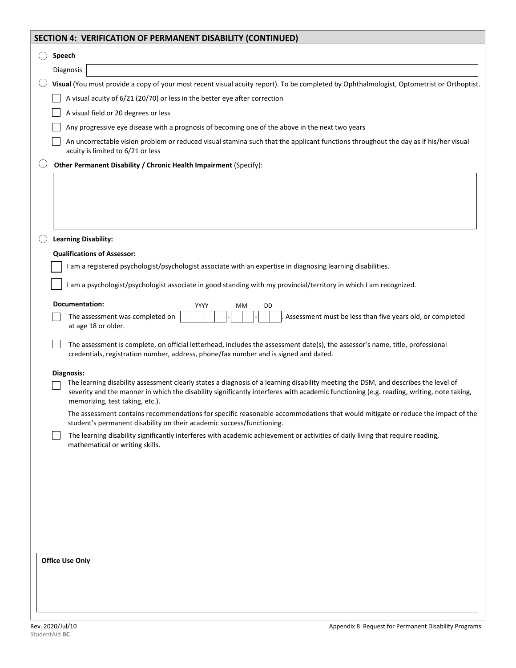| SECTION 4: VERIFICATION OF PERMANENT DISABILITY (CONTINUED)                                                                                                                                                                                                                                                      |
|------------------------------------------------------------------------------------------------------------------------------------------------------------------------------------------------------------------------------------------------------------------------------------------------------------------|
| Speech                                                                                                                                                                                                                                                                                                           |
| Diagnosis                                                                                                                                                                                                                                                                                                        |
| Visual (You must provide a copy of your most recent visual acuity report). To be completed by Ophthalmologist, Optometrist or Orthoptist.                                                                                                                                                                        |
| A visual acuity of 6/21 (20/70) or less in the better eye after correction                                                                                                                                                                                                                                       |
| A visual field or 20 degrees or less                                                                                                                                                                                                                                                                             |
| Any progressive eye disease with a prognosis of becoming one of the above in the next two years                                                                                                                                                                                                                  |
| An uncorrectable vision problem or reduced visual stamina such that the applicant functions throughout the day as if his/her visual<br>acuity is limited to 6/21 or less                                                                                                                                         |
| Other Permanent Disability / Chronic Health Impairment (Specify):                                                                                                                                                                                                                                                |
|                                                                                                                                                                                                                                                                                                                  |
| <b>Learning Disability:</b><br><b>Qualifications of Assessor:</b>                                                                                                                                                                                                                                                |
| I am a registered psychologist/psychologist associate with an expertise in diagnosing learning disabilities.                                                                                                                                                                                                     |
|                                                                                                                                                                                                                                                                                                                  |
| am a psychologist/psychologist associate in good standing with my provincial/territory in which I am recognized.                                                                                                                                                                                                 |
| Documentation:<br>YYYY<br>DD<br>MМ                                                                                                                                                                                                                                                                               |
| The assessment was completed on<br>Assessment must be less than five years old, or completed<br>at age 18 or older.                                                                                                                                                                                              |
| The assessment is complete, on official letterhead, includes the assessment date(s), the assessor's name, title, professional<br>credentials, registration number, address, phone/fax number and is signed and dated.                                                                                            |
| Diagnosis:                                                                                                                                                                                                                                                                                                       |
| The learning disability assessment clearly states a diagnosis of a learning disability meeting the DSM, and describes the level of<br>severity and the manner in which the disability significantly interferes with academic functioning (e.g. reading, writing, note taking,<br>memorizing, test taking, etc.). |
| The assessment contains recommendations for specific reasonable accommodations that would mitigate or reduce the impact of the<br>student's permanent disability on their academic success/functioning.                                                                                                          |
| The learning disability significantly interferes with academic achievement or activities of daily living that require reading,<br>mathematical or writing skills.                                                                                                                                                |
|                                                                                                                                                                                                                                                                                                                  |
|                                                                                                                                                                                                                                                                                                                  |
|                                                                                                                                                                                                                                                                                                                  |
|                                                                                                                                                                                                                                                                                                                  |
|                                                                                                                                                                                                                                                                                                                  |
| <b>Office Use Only</b>                                                                                                                                                                                                                                                                                           |
|                                                                                                                                                                                                                                                                                                                  |
|                                                                                                                                                                                                                                                                                                                  |
|                                                                                                                                                                                                                                                                                                                  |
|                                                                                                                                                                                                                                                                                                                  |